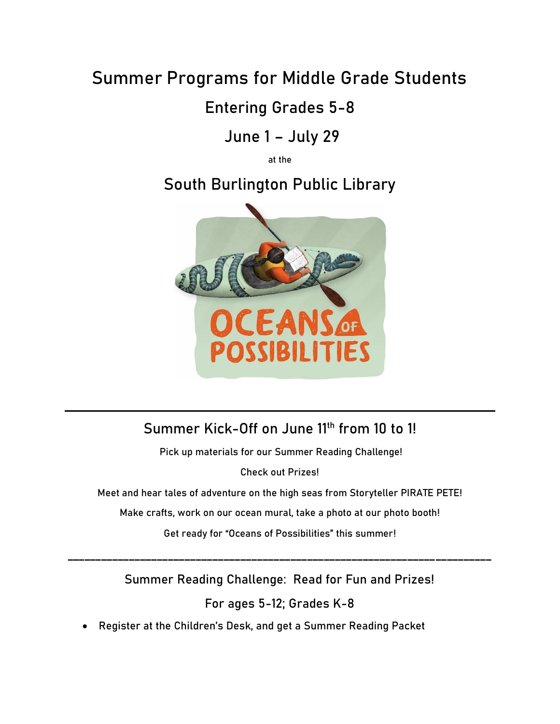# **Summer Programs for Middle Grade Students**

### **Entering Grades 5-8**

# **June 1 – July 29**

**at the**

# **South Burlington Public Library**



#### **Summer Kick-Off on June 11th from 10 to 1!**

**Pick up materials for our Summer Reading Challenge!**

**Check out Prizes!**

**Meet and hear tales of adventure on the high seas from Storyteller PIRATE PETE!**

**Make crafts, work on our ocean mural, take a photo at our photo booth!**

**Get ready for "Oceans of Possibilities" this summer!**

**Summer Reading Challenge: Read for Fun and Prizes!**

**\_\_\_\_\_\_\_\_\_\_\_\_\_\_\_\_\_\_\_\_\_\_\_\_\_\_\_\_\_\_\_\_\_\_\_\_\_\_\_\_\_\_\_\_\_\_\_\_\_\_\_\_\_\_\_\_\_\_\_\_\_\_\_\_\_\_\_\_\_\_\_\_\_\_\_\_**

**For ages 5-12; Grades K-8**

• **Register at the Children's Desk, and get a Summer Reading Packet**